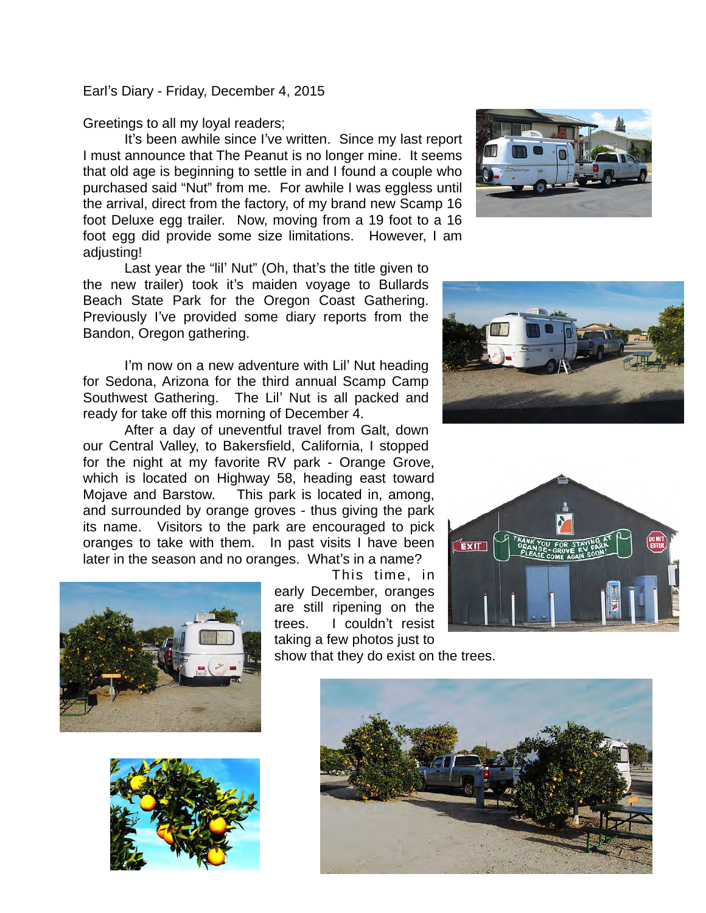Earl's Diary - Friday, December 4, 2015

Greetings to all my loyal readers;

It's been awhile since I've written. Since my last report I must announce that The Peanut is no longer mine. It seems that old age is beginning to settle in and I found a couple who purchased said "Nut" from me. For awhile I was eggless until the arrival, direct from the factory, of my brand new Scamp 16 foot Deluxe egg trailer. Now, moving from a 19 foot to a 16 foot egg did provide some size limitations. However, I am adjusting!

Last year the "lil' Nut" (Oh, that's the title given to the new trailer) took it's maiden voyage to Bullards Beach State Park for the Oregon Coast Gathering. Previously I've provided some diary reports from the Bandon, Oregon gathering.

I'm now on a new adventure with Lil' Nut heading for Sedona, Arizona for the third annual Scamp Camp Southwest Gathering. The Lil' Nut is all packed and ready for take off this morning of December 4.

After a day of uneventful travel from Galt, down our Central Valley, to Bakersfield, California, I stopped for the night at my favorite RV park - Orange Grove, which is located on Highway 58, heading east toward Mojave and Barstow. This park is located in, among, and surrounded by orange groves - thus giving the park its name. Visitors to the park are encouraged to pick oranges to take with them. In past visits I have been later in the season and no oranges. What's in a name?



This time, in early December, oranges are still ripening on the trees. I couldn't resist taking a few photos just to

show that they do exist on the trees.